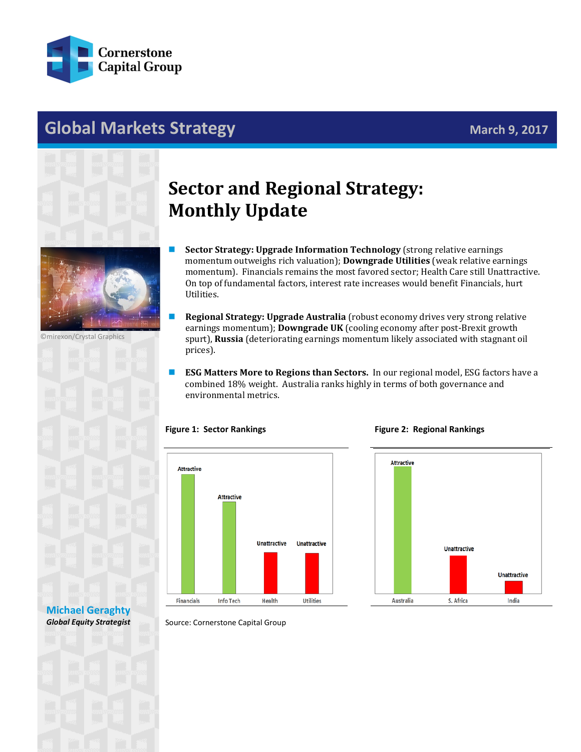

## **Global Markets Strategy Markets Strategy March 9, 2017**





©mirexon/Crystal Graphics



# **Sector and Regional Strategy: Monthly Update**

- **Sector Strategy: Upgrade Information Technology** (strong relative earnings momentum outweighs rich valuation); **Downgrade Utilities** (weak relative earnings momentum).Financials remains the most favored sector; Health Care still Unattractive. On top of fundamental factors, interest rate increases would benefit Financials, hurt Utilities.
- **Regional Strategy: Upgrade Australia** (robust economy drives very strong relative earnings momentum); **Downgrade UK** (cooling economy after post-Brexit growth spurt), **Russia** (deteriorating earnings momentum likely associated with stagnant oil prices).
- **ESG** Matters More to Regions than Sectors. In our regional model, ESG factors have a combined 18% weight. Australia ranks highly in terms of both governance and environmental metrics.

### **Figure 1: Sector Rankings**



#### **Figure 2: Regional Rankings**



### **[Michael Geraghty](mailto:michael.geraghty@cornerstonecapinc.com)** *Global Equity Strategist*

Source: Cornerstone Capital Group